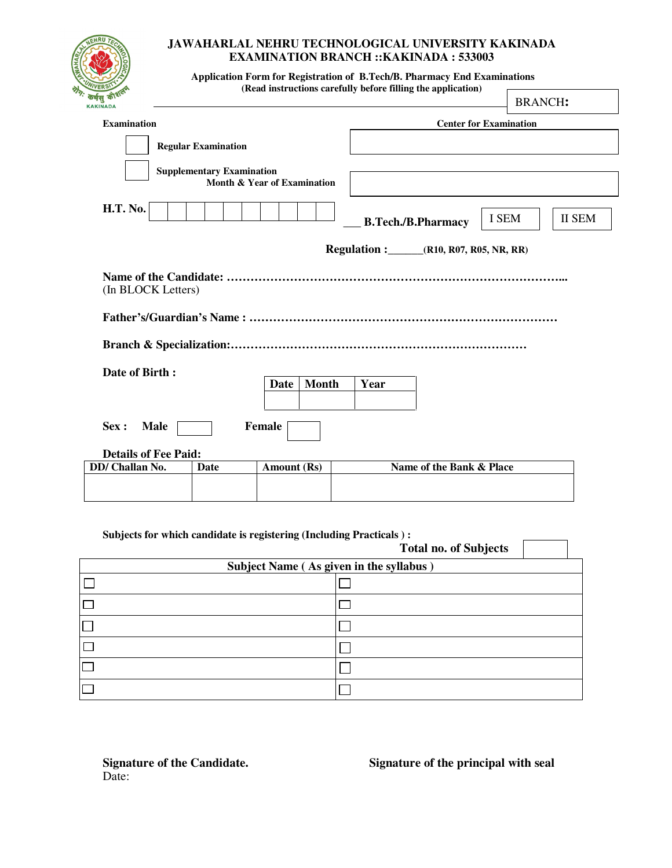

## **JAWAHARLAL NEHRU TECHNOLOGICAL UNIVERSITY KAKINADA EXAMINATION BRANCH ::KAKINADA : 533003**

 **Application Form for Registration of B.Tech/B. Pharmacy End Examinations (Read instructions carefully before filling the application)**   $\overline{a}$ 

| कर्मसु का <sup>र</sup><br><b>KAKINADA</b>   |             |                                  |                             |                           | <b>BRANCH:</b>                |  |  |
|---------------------------------------------|-------------|----------------------------------|-----------------------------|---------------------------|-------------------------------|--|--|
| <b>Examination</b>                          |             |                                  |                             |                           | <b>Center for Examination</b> |  |  |
|                                             |             | <b>Regular Examination</b>       |                             |                           |                               |  |  |
|                                             |             | <b>Supplementary Examination</b> | Month & Year of Examination |                           |                               |  |  |
| <b>H.T. No.</b>                             |             |                                  |                             | <b>B.Tech./B.Pharmacy</b> | I SEM<br><b>II SEM</b>        |  |  |
| <b>Regulation :</b> (R10, R07, R05, NR, RR) |             |                                  |                             |                           |                               |  |  |
| (In BLOCK Letters)                          |             |                                  |                             |                           |                               |  |  |
|                                             |             |                                  |                             |                           |                               |  |  |
| Date of Birth:                              |             |                                  | <b>Month</b><br>Date        | Year                      |                               |  |  |
| Sex :                                       | <b>Male</b> |                                  | Female                      |                           |                               |  |  |
| <b>Details of Fee Paid:</b>                 |             |                                  |                             |                           |                               |  |  |
| DD/ Challan No.                             |             | <b>Date</b>                      | Amount (Rs)                 | Name of the Bank & Place  |                               |  |  |
|                                             |             |                                  |                             |                           |                               |  |  |

### **Subjects for which candidate is registering (Including Practicals ) :**

|                                         | <b>Total no. of Subjects</b> |  |  |  |
|-----------------------------------------|------------------------------|--|--|--|
| Subject Name (As given in the syllabus) |                              |  |  |  |
|                                         |                              |  |  |  |
|                                         |                              |  |  |  |
|                                         |                              |  |  |  |
|                                         |                              |  |  |  |
|                                         |                              |  |  |  |
|                                         |                              |  |  |  |

Date:

**Signature of the Candidate. Signature of the principal with seal**